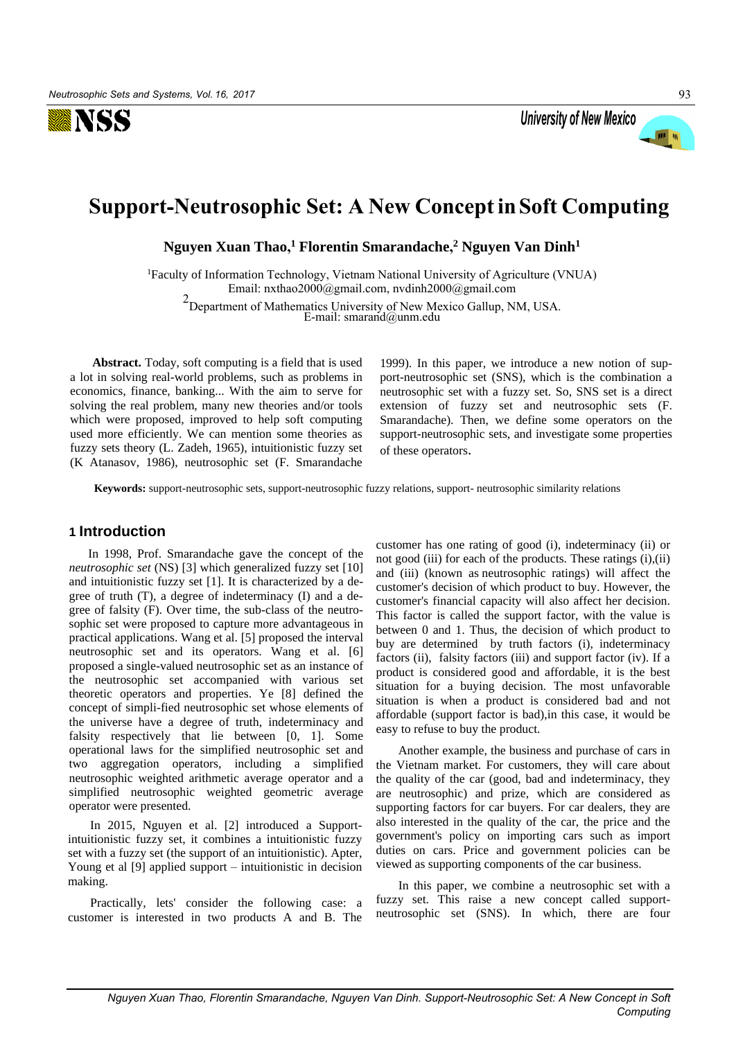



# **Support**-**Neutrosophic Set: A New Concept in Soft Computing**

**Nguyen Xuan Thao, <sup>1</sup> Florentin Smarandache, 2 Nguyen Van Dinh<sup>1</sup>**

<sup>1</sup>Faculty of Information Technology, Vietnam National University of Agriculture (VNUA) Email: nxthao2000@gmail.com, nvdinh2000@gmail.com 2 Departme[nt of Mathematics Univers](mailto:nxthao2000@gmail.com)[ity of New Mexico Gallup](mailto:nvdinh2000@gmail.com), NM, USA. E-mail: smarand@unm.edu

**Abstract.** Today, soft computing is a field that is used a lot in solving real-world problems, such as problems in economics, finance, banking... With the aim to serve for solving the real problem, many new theories and/or tools which were proposed, improved to help soft computing used more efficiently. We can mention some theories as fuzzy sets theory (L. Zadeh, 1965), intuitionistic fuzzy set (K Atanasov, 1986), neutrosophic set (F. Smarandache

1999). In this paper, we introduce a new notion of support-neutrosophic set (SNS), which is the combination a neutrosophic set with a fuzzy set. So, SNS set is a direct extension of fuzzy set and neutrosophic sets (F. Smarandache). Then, we define some operators on the support-neutrosophic sets, and investigate some properties of these operators.

**Keywords:** support-neutrosophic sets, support-neutrosophic fuzzy relations, support- neutrosophic similarity relations

# **1 Introduction**

In 1998, Prof. Smarandache gave the concept of the *neutrosophic set* (NS) [3] which generalized fuzzy set [10] and intuitionistic fuzzy set [1]. It is characterized by a degree of truth (T), a degree of indeterminacy (I) and a degree of falsity (F). Over time, the sub-class of the neutrosophic set were proposed to capture more advantageous in practical applications. Wang et al. [5] proposed the interval neutrosophic set and its operators. Wang et al. [6] proposed a single-valued neutrosophic set as an instance of the neutrosophic set accompanied with various set theoretic operators and properties. Ye [8] defined the concept of simpli-fied neutrosophic set whose elements of the universe have a degree of truth, indeterminacy and falsity respectively that lie between [0, 1]. Some operational laws for the simplified neutrosophic set and two aggregation operators, including a simplified neutrosophic weighted arithmetic average operator and a simplified neutrosophic weighted geometric average operator were presented.

In 2015, Nguyen et al. [2] introduced a Supportintuitionistic fuzzy set, it combines a intuitionistic fuzzy set with a fuzzy set (the support of an intuitionistic). Apter, Young et al [9] applied support – intuitionistic in decision making.

Practically, lets' consider the following case: a customer is interested in two products A and B. The customer has one rating of good (i), indeterminacy (ii) or not good (iii) for each of the products. These ratings (i),(ii) and (iii) (known as neutrosophic ratings) will affect the customer's decision of which product to buy. However, the customer's financial capacity will also affect her decision. This factor is called the support factor, with the value is between 0 and 1. Thus, the decision of which product to buy are determined by truth factors (i), indeterminacy factors (ii), falsity factors (iii) and support factor (iv). If a product is considered good and affordable, it is the best situation for a buying decision. The most unfavorable situation is when a product is considered bad and not affordable (support factor is bad),in this case, it would be easy to refuse to buy the product.

Another example, the business and purchase of cars in the Vietnam market. For customers, they will care about the quality of the car (good, bad and indeterminacy, they are neutrosophic) and prize, which are considered as supporting factors for car buyers. For car dealers, they are also interested in the quality of the car, the price and the government's policy on importing cars such as import duties on cars. Price and government policies can be viewed as supporting components of the car business.

In this paper, we combine a neutrosophic set with a fuzzy set. This raise a new concept called supportneutrosophic set (SNS). In which, there are four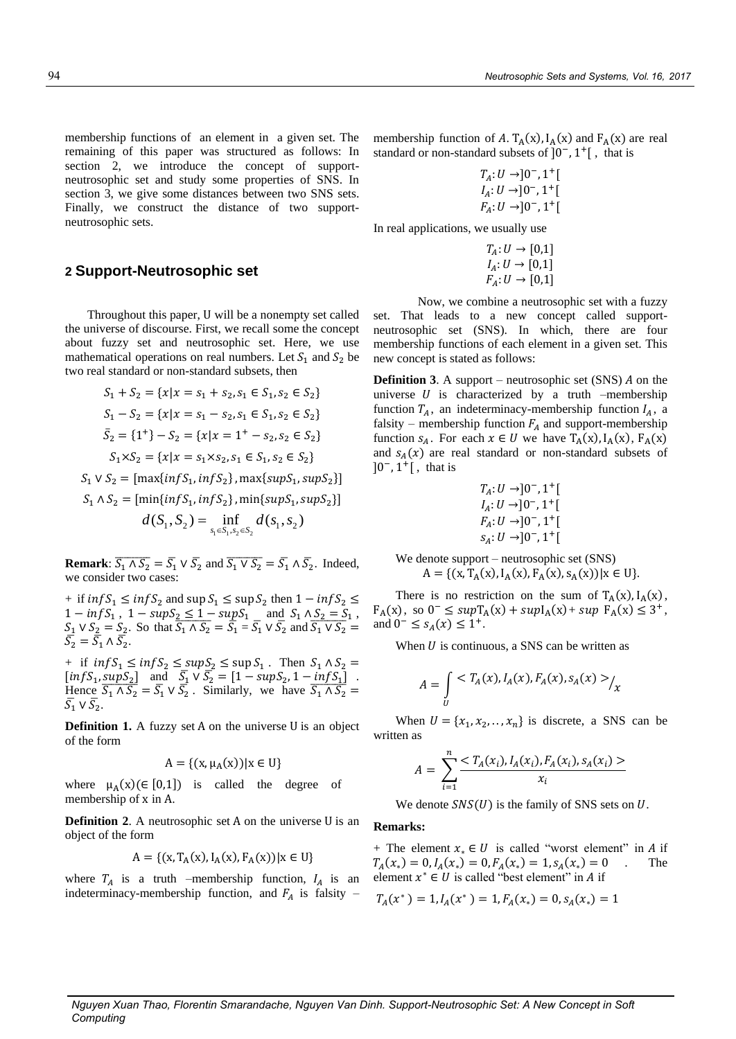membership functions of an element in a given set. The remaining of this paper was structured as follows: In section 2, we introduce the concept of supportneutrosophic set and study some properties of SNS. In section 3, we give some distances between two SNS sets. Finally, we construct the distance of two supportneutrosophic sets.

# **2 Support-Neutrosophic set**

Throughout this paper, U will be a nonempty set called the universe of discourse. First, we recall some the concept about fuzzy set and neutrosophic set. Here, we use mathematical operations on real numbers. Let  $S_1$  and  $S_2$  be two real standard or non-standard subsets, then

$$
S_1 + S_2 = \{x | x = s_1 + s_2, s_1 \in S_1, s_2 \in S_2\}
$$
  
\n
$$
S_1 - S_2 = \{x | x = s_1 - s_2, s_1 \in S_1, s_2 \in S_2\}
$$
  
\n
$$
\bar{S}_2 = \{1^+\} - S_2 = \{x | x = 1^+ - s_2, s_2 \in S_2\}
$$
  
\n
$$
S_1 \times S_2 = \{x | x = s_1 \times s_2, s_1 \in S_1, s_2 \in S_2\}
$$
  
\n
$$
S_1 \vee S_2 = [\max\{inf S_1, inf S_2\}, \max\{sup S_1, sup S_2\}]
$$
  
\n
$$
S_1 \wedge S_2 = [\min\{inf S_1, inf S_2\}, \min\{sup S_1, sup S_2\}]
$$
  
\n
$$
d(S_1, S_2) = \inf_{s_1 \in S_1, s_2 \in S_2} d(s_1, s_2)
$$

**Remark**:  $\overline{S_1 \wedge S_2} = \overline{S_1} \vee \overline{S_2}$  and  $\overline{S_1 \vee S_2} = \overline{S_1} \wedge \overline{S_2}$ . Indeed, we consider two cases:

+ if  $inf S_1 \le inf S_2$  and  $sup S_1 \le sup S_2$  then  $1 - inf S_2 \le$  $1 - infS_1$ ,  $1 - supS_2 \le 1 - supS_1$  and  $S_1 \wedge S_2 = S_1$ ,  $S_1 \vee S_2 = S_2$ . So that  $\overline{S_1 \wedge S_2} = \overline{S_1} = \overline{S_1} \vee \overline{S_2}$  and  $\overline{S_1 \vee S_2} =$  $\overline{S}_2^{\overline{\phantom{1}}} = \overline{S}_1 \wedge \overline{S}_2^{\overline{\phantom{1}}}$ .

+ if  $inf S_1 \le inf S_2 \le sup S_2 \le sup S_1$ . Then  $S_1 \wedge S_2$  =  $[nfS_1, supS_2]$  and  $\overline{S_1} \vee \overline{S_2} = [1 - supS_2, 1 - infS_1]$ . Hence  $\overline{S_1 \wedge S_2} = \overline{S_1} \vee \overline{S_2}$ . Similarly, we have  $\overline{S_1 \wedge S_2} =$  $\bar{S}_1 \vee \bar{S}_2$ .

**Definition 1.** A fuzzy set A on the universe U is an object of the form

$$
A = \{(x, \mu_A(x)) | x \in U\}
$$

where  $\mu_A(x)$ ( $\in$  [0,1]) is called the degree of membership of x in A.

**Definition 2.** A neutrosophic set A on the universe U is an object of the form

$$
A = \{ (x, T_A(x), I_A(x), F_A(x)) | x \in U \}
$$

where  $T_A$  is a truth –membership function,  $I_A$  is an indeterminacy-membership function, and  $F_A$  is falsity –

membership function of A. T<sub>A</sub>(x),  $I_A(x)$  and  $F_A(x)$  are real standard or non-standard subsets of  $]0^-$ ,  $1^+$ [, that is

$$
T_A: U \rightarrow ]0^-, 1^+[
$$
  
\n
$$
I_A: U \rightarrow ]0^-, 1^+[
$$
  
\n
$$
F_A: U \rightarrow ]0^-, 1^+[
$$

In real applications, we usually use

$$
T_A: U \to [0,1]
$$
  

$$
I_A: U \to [0,1]
$$
  

$$
F_A: U \to [0,1]
$$

Now, we combine a neutrosophic set with a fuzzy set. That leads to a new concept called supportneutrosophic set (SNS). In which, there are four membership functions of each element in a given set. This new concept is stated as follows:

**Definition** 3. A support – neutrosophic set  $(SNS)$  A on the universe  $U$  is characterized by a truth –membership function  $T_A$ , an indeterminacy-membership function  $I_A$ , a falsity – membership function  $F_A$  and support-membership function  $s_A$ . For each  $x \in U$  we have  $T_A(x)$ ,  $I_A(x)$ ,  $F_A(x)$ and  $S_A(x)$  are real standard or non-standard subsets of  $]0^-, 1^+[$ , that is

$$
T_A: U \to ]0^-, 1^+[
$$
  
\n
$$
I_A: U \to ]0^-, 1^+[
$$
  
\n
$$
F_A: U \to ]0^-, 1^+[
$$
  
\n
$$
S_A: U \to ]0^-, 1^+[
$$

We denote support – neutrosophic set (SNS)  $A = \{ (x, T_A(x), I_A(x), F_A(x), S_A(x)) | x \in U \}.$ 

There is no restriction on the sum of  $T_A(x)$ ,  $I_A(x)$ ,  $F_A(x)$ , so  $0^- \leq sup T_A(x) + sup I_A(x) + sup F_A(x) \leq 3^+$ , and  $0^- \le s_A(x) \le 1^+$ .

When  $U$  is continuous, a SNS can be written as

$$
A = \int_{U} \langle T_A(x), I_A(x), F_A(x), S_A(x) \rangle_{\chi}
$$

When  $U = \{x_1, x_2, \dots, x_n\}$  is discrete, a SNS can be written as

$$
A = \sum_{i=1}^{n} \frac{}{x_i}
$$

We denote  $SNS(U)$  is the family of SNS sets on  $U$ .

#### **Remarks:**

+ The element  $x_* \in U$  is called "worst element" in A if  $T_A(x_*) = 0, I_A(x_*) = 0, F_A(x_*) = 1, s_A(x_*) = 0$  . The element  $x^* \in U$  is called "best element" in A if

$$
T_A(x^*) = 1, I_A(x^*) = 1, F_A(x_*) = 0, s_A(x_*) = 1
$$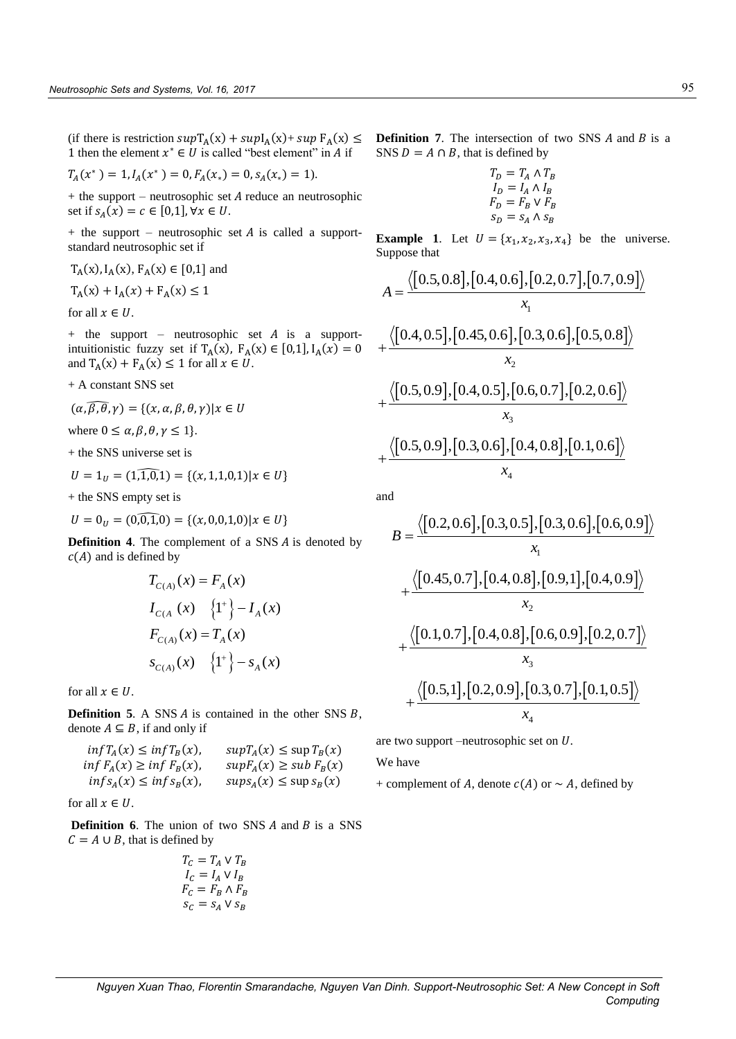1 then the element  $x^* \in U$  is called "best element" in A if

$$
T_A(x^*) = 1, I_A(x^*) = 0, F_A(x_*) = 0, s_A(x_*) = 1).
$$

 $+$  the support – neutrosophic set  $A$  reduce an neutrosophic set if  $s_A(x) = c \in [0,1], \forall x \in U$ .

 $+$  the support – neutrosophic set  $A$  is called a supportstandard neutrosophic set if

$$
T_A(x), I_A(x), F_A(x) \in [0,1]
$$
 and

$$
T_A(x) + I_A(x) + F_A(x) \le 1
$$

for all  $x \in U$ .

 $+$  the support – neutrosophic set A is a supportintuitionistic fuzzy set if  $T_A(x)$ ,  $F_A(x) \in [0,1]$ ,  $I_A(x) = 0$ and  $T_A(x) + F_A(x) \le 1$  for all  $x \in U$ .

+ A constant SNS set

$$
(\alpha, \widehat{\beta}, \widehat{\theta}, \gamma) = \{ (x, \alpha, \beta, \theta, \gamma) | x \in U
$$

where  $0 \le \alpha, \beta, \theta, \gamma \le 1$ .

+ the SNS universe set is

$$
U = 1_U = (1,\widehat{1,0,1}) = \{(x,1,1,0,1) | x \in U\}
$$

+ the SNS empty set is

$$
U = 0_U = (0, 0, 1, 0) = \{(x, 0, 0, 1, 0) | x \in U\}
$$

**Definition 4.** The complement of a SNS *A* is denoted by  $c(A)$  and is defined by

$$
T_{C(A)}(x) = F_A(x)
$$
  
\n
$$
I_{C(A)}(x) = \{1^+\} - I_A(x)
$$
  
\n
$$
F_{C(A)}(x) = T_A(x)
$$
  
\n
$$
s_{C(A)}(x) = \{1^+\} - s_A(x)
$$

for all  $x \in U$ .

**Definition 5.** A SNS  $A$  is contained in the other SNS  $B$ , denote  $A \subseteq B$ , if and only if

$$
inf T_A(x) \le inf T_B(x), \quad sup T_A(x) \le sup T_B(x)
$$
  
 
$$
inf F_A(x) \ge inf F_B(x), \quad sup F_A(x) \ge sub F_B(x)
$$
  
 
$$
inf S_A(x) \le inf S_B(x), \quad sup S_A(x) \le sup S_B(x)
$$

for all  $x \in U$ .

**Definition 6.** The union of two SNS A and B is a SNS  $C = A \cup B$ , that is defined by

$$
T_C = T_A \vee T_B
$$
  
\n
$$
I_C = I_A \vee I_B
$$
  
\n
$$
F_C = F_B \wedge F_B
$$
  
\n
$$
S_C = S_A \vee S_B
$$

(if there is restriction  $supT_A(x) + supI_A(x) + sup F_A(x) \leq$  **Definition 7**. The intersection of two SNS *A* and *B* is a SNS  $D = A \cap B$ , that is defined by

$$
T_D = T_A \wedge T_B
$$
  
\n
$$
I_D = I_A \wedge I_B
$$
  
\n
$$
F_D = F_B \vee F_B
$$
  
\n
$$
S_D = S_A \wedge S_B
$$

**Example 1**. Let = {<sup>1</sup> , <sup>2</sup> , <sup>3</sup> , <sup>4</sup> } be the universe. Suppose that

Suppose that  
\n
$$
A = \frac{\langle [0.5, 0.8], [0.4, 0.6], [0.2, 0.7], [0.7, 0.9] \rangle}{x_1} + \frac{\langle [0.4, 0.5], [0.45, 0.6], [0.3, 0.6], [0.5, 0.8] \rangle}{x_2} + \frac{\langle [0.5, 0.9], [0.4, 0.5], [0.6, 0.7], [0.2, 0.6] \rangle}{x_3} + \frac{\langle [0.5, 0.9], [0.3, 0.6], [0.4, 0.8], [0.1, 0.6] \rangle}{x_4}
$$

and

d  
\n
$$
B = \frac{\langle [0.2, 0.6], [0.3, 0.5], [0.3, 0.6], [0.6, 0.9]\rangle}{x_1} + \frac{\langle [0.45, 0.7], [0.4, 0.8], [0.9, 1], [0.4, 0.9]\rangle}{x_2} + \frac{\langle [0.1, 0.7], [0.4, 0.8], [0.6, 0.9], [0.2, 0.7]\rangle}{x_3} + \frac{\langle [0.5, 1], [0.2, 0.9], [0.3, 0.7], [0.1, 0.5]\rangle}{x_4}
$$

are two support –neutrosophic set on  $U$ .

We have

+ complement of A, denote  $c(A)$  or  $\sim A$ , defined by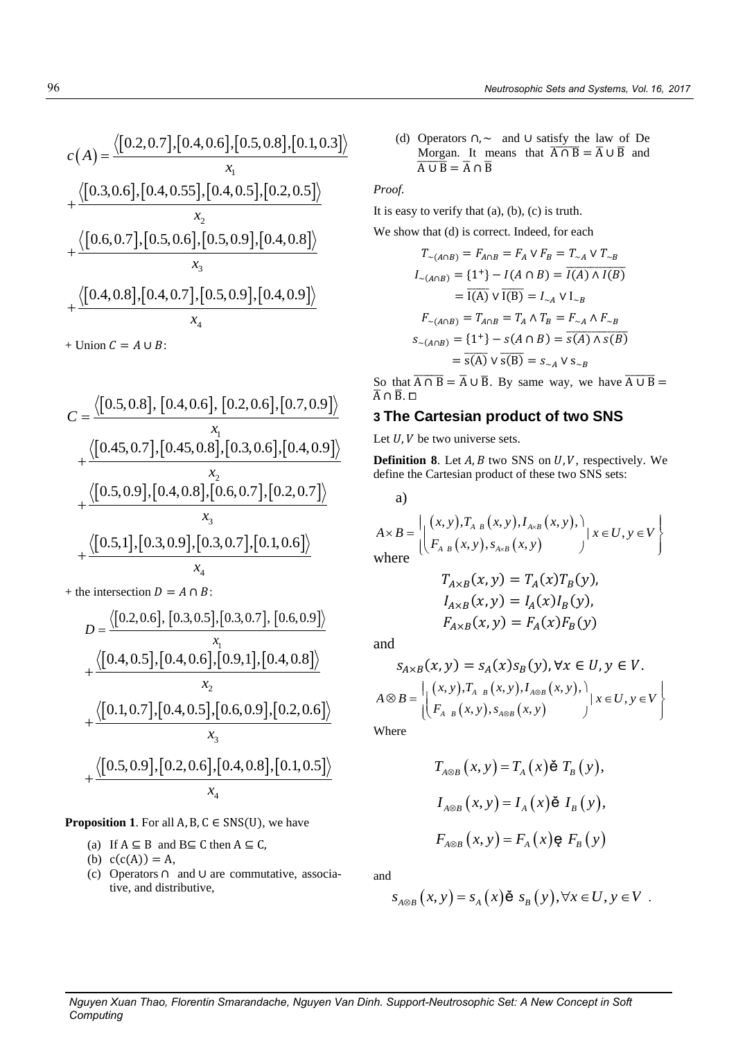(d) Operators ∩, ∼ and ∪ satisfy the law of De Morgan. It means that  $\overline{A \cap B} = \overline{A} \cup \overline{B}$  and  $\overline{A \cup B} = \overline{A} \cap \overline{B}$ 

*Proof.* 

It is easy to verify that (a), (b), (c) is truth.

We show that (d) is correct. Indeed, for each

$$
T_{\sim(A \cap B)} = F_{A \cap B} = F_A \vee F_B = T_{\sim A} \vee T_{\sim B}
$$
  
\n
$$
I_{\sim(A \cap B)} = \{1^+\} - I(A \cap B) = \overline{I(A) \wedge I(B)}
$$
  
\n
$$
= \overline{I(A)} \vee \overline{I(B)} = I_{\sim A} \vee I_{\sim B}
$$
  
\n
$$
F_{\sim(A \cap B)} = T_{A \cap B} = T_A \wedge T_B = F_{\sim A} \wedge F_{\sim B}
$$
  
\n
$$
s_{\sim(A \cap B)} = \{1^+\} - s(A \cap B) = \overline{s(A) \wedge s(B)}
$$
  
\n
$$
= \overline{s(A)} \vee \overline{s(B)} = s_{\sim A} \vee s_{\sim B}
$$

So that  $\overline{A \cap B} = \overline{A} \cup \overline{B}$ . By same way, we have  $\overline{A \cup B} =$  $\overline{A}$   $\cap$   $\overline{B}$ .  $\square$ 

# **3 The Cartesian product of two SNS**

Let  $U, V$  be two universe sets.

**Definition 8.** Let  $A$ ,  $B$  two SNS on  $U$ ,  $V$ , respectively. We define the Cartesian product of these two SNS sets:

a)

define the Cartesian product of these two SNS sets:  
\na)  
\n
$$
A \times B = \left| \begin{array}{l} (x, y), T_{A \cdot B}(x, y), I_{A \times B}(x, y), \\ F_{A \cdot B}(x, y), S_{A \times B}(x, y) \end{array} \right| x \in U, y \in V \right\}
$$
\nwhere

$$
T_{A \times B}(x, y) = T_A(x)T_B(y),
$$
  
\n
$$
I_{A \times B}(x, y) = I_A(x)I_B(y),
$$
  
\n
$$
F_{A \times B}(x, y) = F_A(x)F_B(y)
$$

and

and  
\n
$$
s_{A \times B}(x, y) = s_A(x) s_B(y), \forall x \in U, y \in V.
$$
\n
$$
A \otimes B = \left| \begin{pmatrix} (x, y), T_{A - B}(x, y), I_{A \otimes B}(x, y), \\ F_{A - B}(x, y), s_{A \otimes B}(x, y) \end{pmatrix} | x \in U, y \in V \right|
$$

Where

$$
T_{A\otimes B}(x, y) = T_A(x) \check{\mathbf{e}} T_B(y),
$$
  

$$
I_{A\otimes B}(x, y) = I_A(x) \check{\mathbf{e}} I_B(y),
$$
  

$$
F_{A\otimes B}(x, y) = F_A(x) \mathbf{e} F_B(y)
$$

and

$$
s_{A \otimes B}(x, y) = s_A(x) \check{\mathbf{e}} \ s_B(y), \forall x \in U, y \in V.
$$

$$
c(A) = \frac{\langle [0.2, 0.7], [0.4, 0.6], [0.5, 0.8], [0.1, 0.3]\rangle}{x_1} + \frac{\langle [0.3, 0.6], [0.4, 0.55], [0.4, 0.5], [0.2, 0.5]\rangle}{x_2} + \frac{\langle [0.6, 0.7], [0.5, 0.6], [0.5, 0.9], [0.4, 0.8]\rangle}{x_3} + \frac{\langle [0.4, 0.8], [0.4, 0.7], [0.5, 0.9], [0.4, 0.9]\rangle}{x_4}
$$

+ Union  $C = A \cup B$ :

$$
C = \frac{\langle [0.5, 0.8], [0.4, 0.6], [0.2, 0.6], [0.7, 0.9]\rangle}{x_1} + \frac{\langle [0.45, 0.7], [0.45, 0.8], [0.3, 0.6], [0.4, 0.9]\rangle}{x_2} + \frac{\langle [0.5, 0.9], [0.4, 0.8], [0.6, 0.7], [0.2, 0.7]\rangle}{x_3} + \frac{\langle [0.5, 1], [0.3, 0.9], [0.3, 0.7], [0.1, 0.6]\rangle}{x_4} + \frac{\langle [0.45, 0.9], [0.3, 0.7], [0.1, 0.6]\rangle}{x_4} + \frac{\langle [0.45, 0.9], [0.3, 0.7], [0.1, 0.6]\rangle}{x_4} + \frac{\langle [0.45, 0.9], [0.3, 0.7], [0.1, 0.6]\rangle}{x_4} + \frac{\langle [0.45, 0.9], [0.3, 0.7], [0.1, 0.6]\rangle}{x_4} + \frac{\langle [0.45, 0.9], [0.3, 0.7], [0.1, 0.6]\rangle}{x_4} + \frac{\langle [0.45, 0.9], [0.3, 0.7], [0.1, 0.6]\rangle}{x_4} + \frac{\langle [0.45, 0.9], [0.4, 0.9], [0.4, 0.8]\rangle}{x_4} + \frac{\langle [0.45, 0.9], [0.4, 0.8], [0.4, 0.8]\rangle}{x_4} + \frac{\langle [0.45, 0.9], [0.4, 0.8], [0.4, 0.8]\rangle}{x_4} + \frac{\langle [0.45, 0.9], [0.4, 0.8], [0.4, 0.8]\rangle}{x_4} + \frac{\langle [0.45, 0.9], [0.4, 0.8], [0.4, 0.8]\rangle}{x_4} + \frac{\langle [0.45, 0.9], [0.4, 0.8], [0.4, 0.8]\rangle}{x_4} + \frac{\langle [0.45, 0.9], [0.4, 0.8], [0.4, 0.8]\rangle}{x_4} + \frac{\langle [0.
$$

+ the intersection  $D = A \cap B$ :

he intersection 
$$
D = A \cap B
$$
:  
\n
$$
D = \frac{\langle [0.2, 0.6], [0.3, 0.5], [0.3, 0.7], [0.6, 0.9] \rangle \times \langle [0.4, 0.5], [0.4, 0.6], [0.9, 1], [0.4, 0.8] \rangle \times \langle [0.1, 0.7], [0.4, 0.5], [0.6, 0.9], [0.2, 0.6] \rangle \times \langle [0.5, 0.9], [0.2, 0.6], [0.4, 0.8], [0.1, 0.5] \rangle \times \langle [0.5, 0.9], [0.2, 0.6], [0.4, 0.8], [0.1, 0.5] \rangle \times \langle [0.4, 0.8], [0.1, 0.5] \rangle \times \langle [0.4, 0.8], [0.1, 0.5] \rangle \times \langle [0.4, 0.8], [0.1, 0.5] \rangle \times \langle [0.4, 0.8], [0.1, 0.5] \rangle \times \langle [0.4, 0.8], [0.1, 0.5] \rangle \times \langle [0.4, 0.8], [0.1, 0.5] \rangle \times \langle [0.4, 0.8], [0.1, 0.5] \rangle \times \langle [0.4, 0.8], [0.1, 0.5] \rangle \times \langle [0.4, 0.8], [0.1, 0.5] \rangle \times \langle [0.4, 0.8], [0.4, 0.8], [0.4, 0.5] \rangle \times \langle [0.4, 0.8], [0.4, 0.8], [0.4, 0.8] \rangle \times \langle [0.4, 0.8], [0.4, 0.8], [0.4, 0.8] \rangle \times \langle [0.4, 0.8], [0.4, 0.8], [0.4, 0.8] \rangle \times \langle [0.4, 0.8], [0.4, 0.8], [0.4, 0.8] \rangle \times \langle [0.4, 0.8], [0.4, 0.8], [0.4, 0.8] \rangle \times \langle [0.4, 0.8], [0.4, 0.8], [0.4, 0.8] \rangle \times \langle [0.4, 0.8], [0.4, 0.8], [0
$$

**Proposition 1.** For all  $A$ ,  $B$ ,  $C \in SNS(U)$ , we have

- (a) If  $A \subseteq B$  and  $B \subseteq C$  then  $A \subseteq C$ ,
- (b)  $c(c(A)) = A$ ,
- (c) Operators ∩ and ∪ are commutative, associative, and distributive,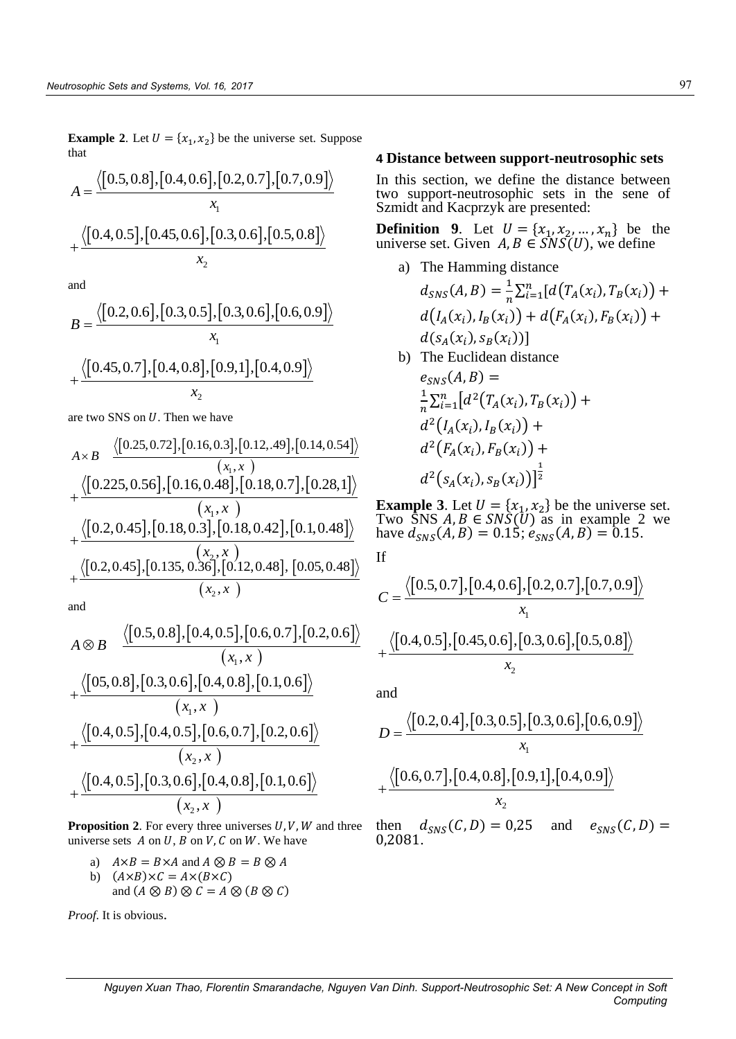**Example 2**. Let  $U = \{x_1, x_2\}$  be the universe set. Suppose<br>that  $A = \frac{\langle [0.5, 0.8], [0.4, 0.6], [0.2, 0.7], [0.7, 0.9] \rangle}{\{10\}}$ that

that  
\n
$$
A = \frac{\langle [0.5, 0.8], [0.4, 0.6], [0.2, 0.7], [0.7, 0.9] \rangle}{x_1}
$$
\n
$$
+ \frac{\langle [0.4, 0.5], [0.45, 0.6], [0.3, 0.6], [0.5, 0.8] \rangle}{x_2}
$$

and

and  
\n
$$
B = \frac{\langle [0.2, 0.6], [0.3, 0.5], [0.3, 0.6], [0.6, 0.9]\rangle}{x_1} + \frac{\langle [0.45, 0.7], [0.4, 0.8], [0.9, 1], [0.4, 0.9]\rangle}{x_2}
$$

are two SNS on *U*. Then we have  
\n
$$
A \times B \quad \frac{\langle [0.25, 0.72], [0.16, 0.3], [0.12, 49], [0.14, 0.54] \rangle \langle (x_1, x_1) \rangle}{(x_1, x_1)} + \frac{\langle [0.225, 0.56], [0.16, 0.48], [0.18, 0.7], [0.28, 1] \rangle}{(x_1, x_1)} + \frac{\langle [0.2, 0.45], [0.18, 0.3], [0.18, 0.42], [0.1, 0.48] \rangle}{\langle x_2, x_1 \rangle} \quad \text{Examp} \atop + \frac{\langle [0.2, 0.45], [0.135, 0.36], [0.12, 0.48], [0.05, 0.48] \rangle}{(x_2, x_1)} \quad \text{If} \atop C = \frac{\langle [0, 0.45], [0.135, 0.36], [0.12, 0.48], [0.05, 0.48] \rangle}{\langle x_2, x_1 \rangle} \quad C = \frac{\langle [0, 0.45], [0.135, 0.36], [0.12, 0.48], [0.05, 0.48] \rangle}{\langle x_2, x_1 \rangle}.
$$

and

and  
\n
$$
(x_2, x)
$$
\n
$$
C = \frac{\langle [0.5, 0.8], [0.4, 0.5], [0.6, 0.7], [0.2, 0.6]\rangle}{(x_1, x)}
$$
\n
$$
+\frac{\langle [0.5, 0.8], [0.3, 0.6], [0.4, 0.8], [0.1, 0.6]\rangle}{(x_1, x)}
$$
\nand  
\n
$$
+\frac{\langle [0.4, 0.5], [0.4, 0.5], [0.6, 0.7], [0.2, 0.6]\rangle}{(x_2, x)}
$$
\n
$$
+\frac{\langle [0.4, 0.5], [0.3, 0.6], [0.4, 0.8], [0.1, 0.6]\rangle}{(x_2, x)}
$$
\n
$$
+\frac{\langle [0.6, 0.4], [0.3, 0.6], [0.4, 0.8], [0.1, 0.6]\rangle}{(x_2, x)}
$$

**Proposition 2.** For every three universes  $U, V, W$  and three universe sets  $A$  on  $U$ ,  $B$  on  $V$ ,  $C$  on  $W$ . We have

a)  $A \times B = B \times A$  and  $A \otimes B = B \otimes A$ b)  $(A \times B) \times C = A \times (B \times C)$ and  $(A \otimes B) \otimes C = A \otimes (B \otimes C)$ 

*Proof*. It is obvious.

### **4 Distance between support-neutrosophic sets**

In this section, we define the distance between two support-neutrosophic sets in the sene of Szmidt and Kacprzyk are presented:

**Definition** 9. Let  $U = \{x_1, x_2, ..., x_n\}$  be the universe set. Given  $A, B \in \overline{S}NS(U)$ , we define

a) The Hamming distance

$$
d_{SNS}(A, B) = \frac{1}{n} \sum_{i=1}^{n} [d(T_A(x_i), T_B(x_i)) + d(I_A(x_i), I_B(x_i)) + d(F_A(x_i), F_B(x_i)) + d(s_A(x_i), s_B(x_i))]
$$

b) The Euclidean distance  $e_{\text{SNS}}(A, B) =$ 1  $\frac{1}{n}\sum_{i=1}^{n}[d^{2}(T_{A}(x_{i}),T_{B}(x_{i})) +$  $d^2(I_A(x_i), I_B(x_i)) +$  $d^2(F_A(x_i), F_B(x_i)) +$  $d^2(s_A(x_i), s_B(x_i))]$ 1 2

**Example 3**. Let  $U = \{x_1, x_2\}$  be the universe set. Two  $\tilde{S}NS A, B \in SN\tilde{S}(U)$  as in example 2 we have  $d_{SNS}(A, B) = 0.15$ ;  $e_{SNS}(A, B) = 0.15$ .

If

If  
\n
$$
C = \frac{\langle [0.5, 0.7], [0.4, 0.6], [0.2, 0.7], [0.7, 0.9] \rangle}{x_1} + \frac{\langle [0.4, 0.5], [0.45, 0.6], [0.3, 0.6], [0.5, 0.8] \rangle}{x_2}
$$

and

and  
\n
$$
D = \frac{\langle [0.2, 0.4], [0.3, 0.5], [0.3, 0.6], [0.6, 0.9]\rangle}{x_1} + \frac{\langle [0.6, 0.7], [0.4, 0.8], [0.9, 1], [0.4, 0.9]\rangle}{x_2}
$$
\nthen,  $d = (C, D) = 0.25$ , and  $e = (C, D) =$ 

then  $d_{SNS}(C, D) = 0.25$  and  $e_{SNS}(C, D) =$ 0,2081.